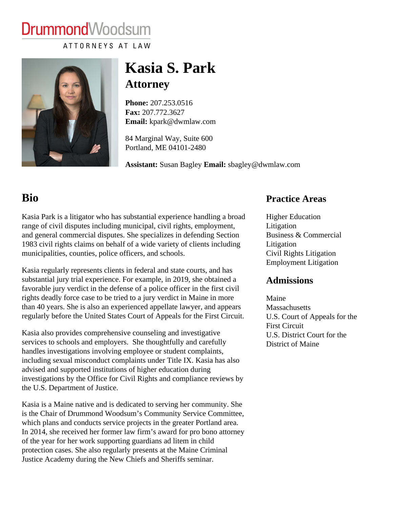# DrummondWoodsum

ATTORNEYS AT LAW

## Kasia S. Park **Attorney**

Phone:[207.253.051](/home/dwmlaw/public_html/tel:+1207.253.0516)6 Fax: [207.772.362](/home/dwmlaw/public_html/fax:+1207.772.3627)7 Email: [kpark@dwmlaw.com](mailto:kpark@dwmlaw.com)

84 Marginal Way, Suite 600 Portland, ME 04101-2480

Assistant: Susan Bagle Email: [sbagley@dwmlaw.co](mailto:sbagley@dwmlaw.com)m

### Bio

#### Practice Areas

| Kasia Park is a litigator who has substantial experience handling a broad ligher Education<br>range of civil disputes including municipal, civil rights, employment,<br>and general commercial disputes. She specializes in defending Section Business & Commercial<br>1983 civil rights claims on behalf of a wide variety of clients including<br>municipalities, counties, police officers, and schools.                                                     | Litigation<br>Litigation<br><b>Civil Rights Litigation</b><br><b>Employment Litigation</b> |
|-----------------------------------------------------------------------------------------------------------------------------------------------------------------------------------------------------------------------------------------------------------------------------------------------------------------------------------------------------------------------------------------------------------------------------------------------------------------|--------------------------------------------------------------------------------------------|
| Kasia regularly represents clients in federal and state courts, and has<br>substantial jury trial experience. For example, in 2019, she obtained a<br>favorable jury verdict in the defense of a police officer in the first civil                                                                                                                                                                                                                              | Admissions                                                                                 |
| rights deadly force case to be tried to a jury verdict in Maine in more<br>than 40 years. She is also an experienced appellate lawyer, and appearMassachusetts<br>regularly before the United States Court of Appeals for the First Circuit. U.S. Court of Appeals for the                                                                                                                                                                                      | Maine                                                                                      |
| Kasia also provides comprehensive counseling and investigative<br>services to schools and employers. She thoughtfully and carefully<br>handles investigations involving employee or student complaints,<br>including sexual misconduct complaints under Title IX. Kasia has also<br>advised and supported institutions of higher education during<br>investigations by the Office for Civil Rights and compliance reviews by<br>the U.S. Department of Justice. | <b>First Circuit</b><br>U.S. District Court for the<br><b>District of Maine</b>            |
| Kasia is a Maine native and is dedicated to serving her community. She<br>is the Chair of Drummond Woodsum's Community Service Committee,<br>which plans and conducts service projects in the greater Portland area.<br>In 2014, she received her former law firm's award for pro bono attorney<br>of the year for her work supporting guardians ad litem in child                                                                                              |                                                                                            |

protection cases. She also regularly presents at the Maine Criminal Justice Academy during the New Chiefs and Sheriffs seminar.